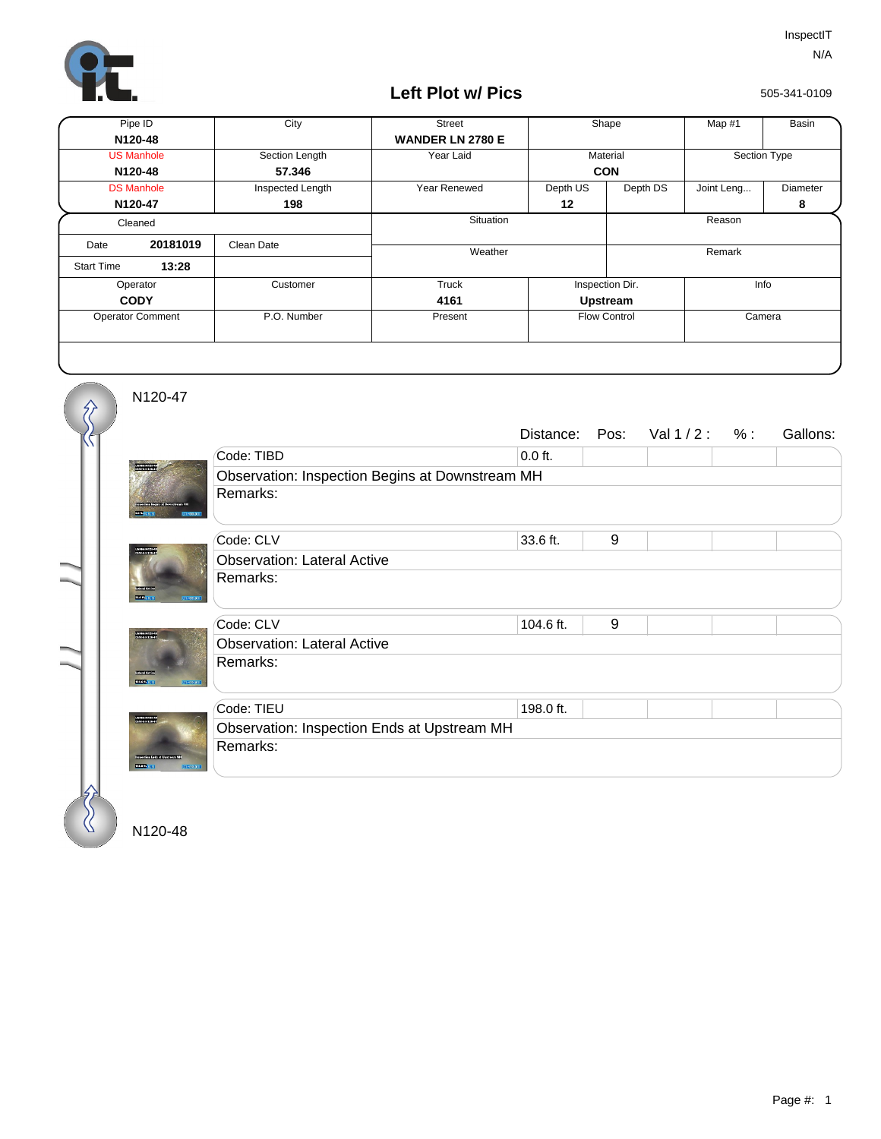

## **Left Plot w/ Pics**

505-341-0109

| Pipe ID                 |          | City             | <b>Street</b>           | Shape               |          | Map #1       | Basin    |
|-------------------------|----------|------------------|-------------------------|---------------------|----------|--------------|----------|
| N120-48                 |          |                  | <b>WANDER LN 2780 E</b> |                     |          |              |          |
| <b>US Manhole</b>       |          | Section Length   | Year Laid               | Material            |          | Section Type |          |
| N120-48                 |          | 57.346           |                         | <b>CON</b>          |          |              |          |
| <b>DS Manhole</b>       |          | Inspected Length | Year Renewed            | Depth US            | Depth DS | Joint Leng   | Diameter |
| N120-47                 |          | 198              |                         | 12                  |          |              | 8        |
| Cleaned                 |          |                  | Situation               |                     | Reason   |              |          |
| Date                    | 20181019 | Clean Date       |                         |                     |          |              |          |
| <b>Start Time</b>       | 13:28    |                  | Weather                 |                     |          | Remark       |          |
| Operator                |          | Customer         | Truck                   | Inspection Dir.     |          | Info         |          |
| <b>CODY</b>             |          |                  | 4161                    | Upstream            |          |              |          |
| <b>Operator Comment</b> |          | P.O. Number      | Present                 | <b>Flow Control</b> |          | Camera       |          |
|                         |          |                  |                         |                     |          |              |          |

N120-47

 $\hat{\mathcal{S}}$ 

|                                                                   |                                                 | Distance: | Pos: | Val1/2: % |  | Gallons: |  |  |
|-------------------------------------------------------------------|-------------------------------------------------|-----------|------|-----------|--|----------|--|--|
|                                                                   | Code: TIBD                                      | $0.0$ ft. |      |           |  |          |  |  |
|                                                                   | Observation: Inspection Begins at Downstream MH |           |      |           |  |          |  |  |
|                                                                   | Remarks:                                        |           |      |           |  |          |  |  |
|                                                                   | Code: CLV                                       | 33.6 ft.  | 9    |           |  |          |  |  |
| USVANNI3341<br>0EM-HAVISON                                        | <b>Observation: Lateral Active</b>              |           |      |           |  |          |  |  |
| 224.04 (1)                                                        | Remarks:                                        |           |      |           |  |          |  |  |
|                                                                   | Code: CLV                                       | 104.6 ft. | 9    |           |  |          |  |  |
|                                                                   | <b>Observation: Lateral Active</b>              |           |      |           |  |          |  |  |
| <b>TOTAL DES</b><br>123200901                                     | Remarks:                                        |           |      |           |  |          |  |  |
| USVANDI 173.41<br>OEM-NISSES 17<br><b>PERTITION</b><br>1011-00930 | Code: TIEU                                      | 198.0 ft. |      |           |  |          |  |  |
|                                                                   | Observation: Inspection Ends at Upstream MH     |           |      |           |  |          |  |  |
|                                                                   | Remarks:                                        |           |      |           |  |          |  |  |
|                                                                   |                                                 |           |      |           |  |          |  |  |

N120-48

 $\%$